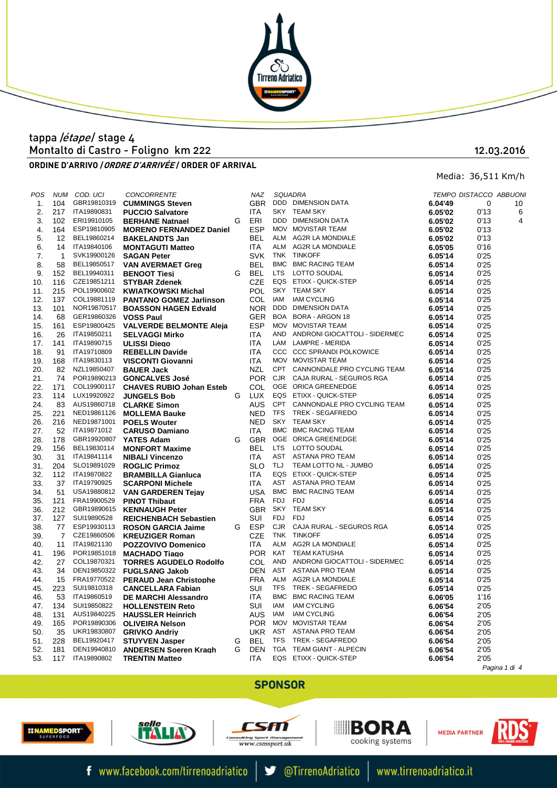

# Montalto di Castro - Foligno km 222 tappa /étape/ stage 4

ORDINE D'ARRIVO *| ORDRE D'ARRIVÉE* / ORDER OF ARRIVAL

12.03.2016

Media: 36,511 Km/h

| POS |                | NUM COD. UCI | <b>CONCORRENTE</b>               |   | NAZ        |            | SQUADRA                           |         | TEMPO DISTACCO ABBUON. |    |
|-----|----------------|--------------|----------------------------------|---|------------|------------|-----------------------------------|---------|------------------------|----|
| 1.  | 104            | GBR19810319  | <b>CUMMINGS Steven</b>           |   | <b>GBR</b> |            | DDD DIMENSION DATA                | 6.04'49 | 0                      | 10 |
| 2.  | 217            | ITA19890831  | <b>PUCCIO Salvatore</b>          |   | <b>ITA</b> |            | SKY TEAM SKY                      | 6.05'02 | 0'13                   | 6  |
| 3.  | 102            | ERI19910105  | <b>BERHANE Natnael</b>           | G | ERI        |            | DDD DIMENSION DATA                | 6.05'02 | 0'13                   | 4  |
| 4.  | 164            | ESP19810905  | <b>MORENO FERNANDEZ Daniel</b>   |   | <b>ESP</b> |            | MOV MOVISTAR TEAM                 | 6.05'02 | 0'13                   |    |
| 5.  | 12             | BEL19860214  | <b>BAKELANDTS Jan</b>            |   | <b>BEL</b> |            | ALM AG2R LA MONDIALE              | 6.05'02 | 0'13                   |    |
| 6.  | 14             | ITA19840106  | <b>MONTAGUTI Matteo</b>          |   | ITA        |            | ALM AG2R LA MONDIALE              | 6.05'05 | 0'16                   |    |
| 7.  | $\mathbf{1}$   | SVK19900126  | <b>SAGAN Peter</b>               |   | <b>SVK</b> |            | TNK TINKOFF                       | 6.05'14 | 0'25                   |    |
| 8.  | 58             | BEL19850517  | <b>VAN AVERMAET Greg</b>         |   | <b>BEL</b> |            | BMC BMC RACING TEAM               | 6.05'14 | 0'25                   |    |
| 9.  | 152            | BEL19940311  | <b>BENOOT Tiesi</b>              | G | BEL        | <b>LTS</b> | LOTTO SOUDAL                      | 6.05'14 | 0'25                   |    |
| 10. | 116            | CZE19851211  | <b>STYBAR Zdenek</b>             |   | <b>CZE</b> |            | EQS ETIXX - QUICK-STEP            | 6.05'14 | 0'25                   |    |
| 11. | 215            | POL19900602  | <b>KWIATKOWSKI Michal</b>        |   | <b>POL</b> |            | SKY TEAM SKY                      | 6.05'14 | 0'25                   |    |
| 12. | 137            | COL19881119  | <b>PANTANO GOMEZ Jarlinson</b>   |   | COL        | IAM        | <b>IAM CYCLING</b>                | 6.05'14 | 0'25                   |    |
| 13. | 101            |              | NOR19870517 BOASSON HAGEN Edvald |   | <b>NOR</b> |            | DDD DIMENSION DATA                | 6.05'14 | 0'25                   |    |
| 14. | 68             | GER19860326  | <b>VOSS Paul</b>                 |   | <b>GER</b> |            | BOA BORA - ARGON 18               | 6.05'14 | 0'25                   |    |
| 15. | 161            | ESP19800425  | <b>VALVERDE BELMONTE Aleja</b>   |   | <b>ESP</b> |            | MOV MOVISTAR TEAM                 | 6.05'14 | 0'25                   |    |
| 16. | 26             | ITA19850211  | <b>SELVAGGI Mirko</b>            |   | ITA        |            | AND ANDRONI GIOCATTOLI - SIDERMEC | 6.05'14 | 0'25                   |    |
| 17. | 141            | ITA19890715  | <b>ULISSI Diego</b>              |   | <b>ITA</b> |            | LAM LAMPRE - MERIDA               | 6.05'14 | 0'25                   |    |
|     | 91             | ITA19710809  |                                  |   | <b>ITA</b> |            | CCC CCC SPRANDI POLKOWICE         | 6.05'14 | 0'25                   |    |
| 18. |                | ITA19830113  | <b>REBELLIN Davide</b>           |   | <b>ITA</b> |            | MOV MOVISTAR TEAM                 |         |                        |    |
| 19. | 168            | NZL19850407  | <b>VISCONTI Giovanni</b>         |   |            |            | CPT CANNONDALE PRO CYCLING TEAM   | 6.05'14 | 0'25                   |    |
| 20. | 82             |              | <b>BAUER Jack</b>                |   | NZL        |            | CJR CAJA RURAL - SEGUROS RGA      | 6.05'14 | 0'25                   |    |
| 21. | 74             |              | POR19890213 GONCALVES José       |   | <b>POR</b> |            |                                   | 6.05'14 | 0'25                   |    |
| 22. | 171            | COL19900117  | <b>CHAVES RUBIO Johan Esteb</b>  |   | <b>COL</b> |            | OGE ORICA GREENEDGE               | 6.05'14 | 0'25                   |    |
| 23. | 114            | LUX19920922  | <b>JUNGELS Bob</b>               | G | LUX        |            | EQS ETIXX - QUICK-STEP            | 6.05'14 | 0'25                   |    |
| 24. | 83             | AUS19860718  | <b>CLARKE Simon</b>              |   | AUS        |            | CPT CANNONDALE PRO CYCLING TEAM   | 6.05'14 | 0'25                   |    |
| 25. | 221            | NED19861126  | <b>MOLLEMA Bauke</b>             |   | NED.       |            | TFS TREK - SEGAFREDO              | 6.05'14 | 0'25                   |    |
| 26. | 216            | NED19871001  | <b>POELS Wouter</b>              |   | <b>NED</b> |            | SKY TEAM SKY                      | 6.05'14 | 0'25                   |    |
| 27. | 52             | ITA19871012  | <b>CARUSO Damiano</b>            |   | ITA        |            | BMC BMC RACING TEAM               | 6.05'14 | 0'25                   |    |
| 28. | 178            | GBR19920807  | <b>YATES Adam</b>                | G | <b>GBR</b> |            | OGE ORICA GREENEDGE               | 6.05'14 | 0'25                   |    |
| 29. | 156            | BEL19830114  | <b>MONFORT Maxime</b>            |   | <b>BEL</b> | <b>LTS</b> | LOTTO SOUDAL                      | 6.05'14 | 0'25                   |    |
| 30. | 31             | ITA19841114  | <b>NIBALI Vincenzo</b>           |   | <b>ITA</b> |            | AST ASTANA PRO TEAM               | 6.05'14 | 0'25                   |    |
| 31. | 204            | SLO19891029  | <b>ROGLIC Primoz</b>             |   | <b>SLO</b> | TLJ        | TEAM LOTTO NL - JUMBO             | 6.05'14 | 0'25                   |    |
| 32. | 112            | ITA19870822  | <b>BRAMBILLA Gianluca</b>        |   | <b>ITA</b> |            | EQS ETIXX - QUICK-STEP            | 6.05'14 | 0'25                   |    |
| 33. | 37             | ITA19790925  | <b>SCARPONI Michele</b>          |   | ITA        |            | AST ASTANA PRO TEAM               | 6.05'14 | 0'25                   |    |
| 34. | 51             |              | USA19880812 VAN GARDEREN Tejay   |   | <b>USA</b> |            | BMC BMC RACING TEAM               | 6.05'14 | 0'25                   |    |
| 35. | 121            | FRA19900529  | <b>PINOT Thibaut</b>             |   | <b>FRA</b> | FDJ        | FDJ                               | 6.05'14 | 0'25                   |    |
| 36. | 212            | GBR19890615  | <b>KENNAUGH Peter</b>            |   | <b>GBR</b> |            | SKY TEAM SKY                      | 6.05'14 | 0'25                   |    |
| 37. | 127            | SUI19890528  | <b>REICHENBACH Sebastien</b>     |   | SUI        | FDJ        | <b>FDJ</b>                        | 6.05'14 | 0'25                   |    |
| 38. | 77             | ESP19930113  | <b>ROSON GARCIA Jaime</b>        | G | ESP        | CJR        | CAJA RURAL - SEGUROS RGA          | 6.05'14 | 0'25                   |    |
| 39. | $\overline{7}$ | CZE19860506  | <b>KREUZIGER Roman</b>           |   | CZE        |            | TNK TINKOFF                       | 6.05'14 | 0'25                   |    |
| 40. | 11             | ITA19821130  | <b>POZZOVIVO Domenico</b>        |   | <b>ITA</b> | ALM        | AG2R LA MONDIALE                  | 6.05'14 | 0'25                   |    |
| 41. | 196            | POR19851018  | <b>MACHADO Tiago</b>             |   | <b>POR</b> |            | KAT TEAM KATUSHA                  | 6.05'14 | 0'25                   |    |
| 42. | 27             | COL19870321  | <b>TORRES AGUDELO Rodolfo</b>    |   | <b>COL</b> |            | AND ANDRONI GIOCATTOLI - SIDERMEC | 6.05'14 | 0'25                   |    |
| 43. | 34             | DEN19850322  | <b>FUGLSANG Jakob</b>            |   | <b>DEN</b> |            | AST ASTANA PRO TEAM               | 6.05'14 | 0'25                   |    |
| 44. | 15             | FRA19770522  | <b>PERAUD Jean Christophe</b>    |   | <b>FRA</b> |            | ALM AG2R LA MONDIALE              | 6.05'14 | 0'25                   |    |
| 45. | 223            | SUI19810318  | <b>CANCELLARA Fabian</b>         |   | SUI        |            | TFS TREK - SEGAFREDO              | 6.05'14 | 0'25                   |    |
| 46. | 53             | ITA19860519  | <b>DE MARCHI Alessandro</b>      |   | <b>ITA</b> |            | BMC BMC RACING TEAM               | 6.06'05 | 1'16                   |    |
| 47. | 134            | SUI19850822  | <b>HOLLENSTEIN Reto</b>          |   | SUI        | IAM        | <b>IAM CYCLING</b>                | 6.06'54 | 2'05                   |    |
| 48. | 131            | AUS19840225  | <b>HAUSSLER Heinrich</b>         |   | <b>AUS</b> | IAM        | <b>IAM CYCLING</b>                | 6.06'54 | 2'05                   |    |
| 49. | 165            | POR19890306  | <b>OLIVEIRA Nelson</b>           |   | <b>POR</b> |            | MOV MOVISTAR TEAM                 | 6.06'54 | 2'05                   |    |
| 50. | 35             | UKR19830807  | <b>GRIVKO Andriv</b>             |   | <b>UKR</b> |            | AST ASTANA PRO TEAM               | 6.06'54 | 2'05                   |    |
| 51. | 228            | BEL19920417  | <b>STUYVEN Jasper</b>            | G | <b>BEL</b> | <b>TFS</b> | TREK - SEGAFREDO                  | 6.06'54 | 2'05                   |    |
| 52. | 181            | DEN19940810  | <b>ANDERSEN Soeren Kragh</b>     | G | <b>DEN</b> |            | TGA TEAM GIANT - ALPECIN          | 6.06'54 | 2'05                   |    |
| 53. | 117            | ITA19890802  | <b>TRENTIN Matteo</b>            |   | <b>ITA</b> |            | EQS ETIXX - QUICK-STEP            | 6.06'54 | 2'05                   |    |
|     |                |              |                                  |   |            |            |                                   |         |                        |    |

Pagina 1 di 4

## **SPONSOR**





f www.facebook.com/tirrenoadriatico





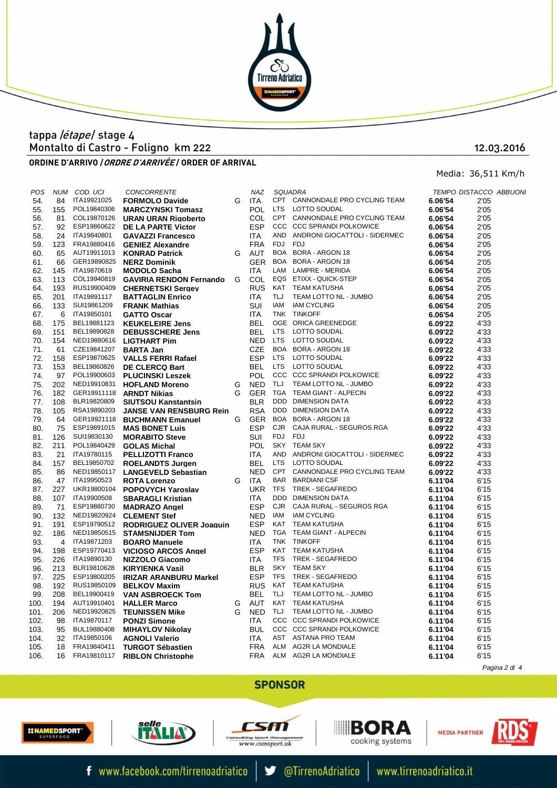

## ORDINE D'ARRIVO *| ORDRE D'ARRIVÉE* / ORDER OF ARRIVAL Montalto di Castro - Foligno km 222 tappa /étape/ stage 4

### 12.03.2016

Media: 36,511 Km/h

| POS  | <b>NUM</b> | COD. UCI    | <b>CONCORRENTE</b>                   |   | <b>NAZ</b> |            | <b>SQUADRA</b>                                                                                                                          |         | TEMPO DISTACCO ABBUON |  |
|------|------------|-------------|--------------------------------------|---|------------|------------|-----------------------------------------------------------------------------------------------------------------------------------------|---------|-----------------------|--|
| 54.  | 84         | ITA19921025 | <b>FORMOLO Davide</b>                | G | ITA        |            | CPT CANNONDALE PRO CYCLING TEAM                                                                                                         | 6.06'54 | 2'05                  |  |
| 55.  | 155        | POL19840306 | <b>MARCZYNSKI Tomasz</b>             |   | POL.       |            | LTS LOTTO SOUDAL                                                                                                                        | 6.06'54 | 2'05                  |  |
| 56.  | 81         | COL19870126 | <b>URAN URAN Rigoberto</b>           |   | <b>COL</b> |            | CPT CANNONDALE PRO CYCLING TEAM                                                                                                         | 6.06'54 | 2'05                  |  |
| 57.  | 92         | ESP19860622 | DE LA PARTE Victor                   |   | <b>ESP</b> |            | CCC CCC SPRANDI POLKOWICE                                                                                                               | 6.06'54 | 2'05                  |  |
| 58.  | 24         | ITA19840801 | <b>GAVAZZI Francesco</b>             |   | <b>ITA</b> |            | AND ANDRONI GIOCATTOLI - SIDERMEC                                                                                                       | 6.06'54 | 2'05                  |  |
| 59.  | 123        | FRA19880416 | <b>GENIEZ Alexandre</b>              |   | <b>FRA</b> | FDJ        | FDJ                                                                                                                                     | 6.06'54 | 2'05                  |  |
| 60.  | 65         | AUT19911013 | <b>KONRAD Patrick</b>                | G | AUT        |            | BOA BORA - ARGON 18                                                                                                                     | 6.06'54 | 2'05                  |  |
| 61.  | 66         | GER19890825 | <b>NERZ Dominik</b>                  |   | <b>GER</b> |            | BOA BORA - ARGON 18                                                                                                                     | 6.06'54 | 2'05                  |  |
| 62.  | 145        | ITA19870619 | <b>MODOLO Sacha</b>                  |   | <b>ITA</b> |            |                                                                                                                                         | 6.06'54 | 2'05                  |  |
| 63.  | 113        | COL19940819 | <b>GAVIRIA RENDON Fernando</b>       | G | <b>COL</b> |            | BOA BORA - ARGON 18<br>LAM LAMPRE - MERIDA<br>EQS ETIXX - QUICK-STEP                                                                    | 6.06'54 | 2'05                  |  |
| 64.  | 193        | RUS19900409 | <b>CHERNETSKI Sergey</b>             |   | <b>RUS</b> |            | KAT TEAM KATUSHA                                                                                                                        | 6.06'54 | 2'05                  |  |
| 65.  | 201        | ITA19891117 | <b>BATTAGLIN Enrico</b>              |   | <b>ITA</b> | TLJ        | TEAM LOTTO NL - JUMBO<br>IAM CYCLING<br>TINIKOEE                                                                                        | 6.06'54 | 2'05                  |  |
| 66.  | 133        | SUI19861209 | <b>FRANK Mathias</b>                 |   | <b>SUI</b> |            | IAM IAM CYCLING                                                                                                                         | 6.06'54 | 2'05                  |  |
|      | 6          | ITA19850101 |                                      |   | <b>ITA</b> |            | TNK TINKOFF                                                                                                                             |         |                       |  |
| 67.  |            |             | <b>GATTO Oscar</b>                   |   |            |            |                                                                                                                                         | 6.06'54 | 2'05                  |  |
| 68.  | 175        | BEL19881123 | <b>KEUKELEIRE Jens</b>               |   | <b>BEL</b> |            |                                                                                                                                         | 6.09'22 | 4'33                  |  |
| 69.  | 151        | BEL19890828 | <b>DEBUSSCHERE Jens</b>              |   | <b>BEL</b> |            |                                                                                                                                         | 6.09'22 | 4'33                  |  |
| 70.  | 154        | NED19880616 | <b>LIGTHART Pim</b>                  |   | <b>NED</b> |            |                                                                                                                                         | 6.09'22 | 4'33                  |  |
| 71.  | 61         | CZE19841207 | <b>BARTA Jan</b>                     |   | CZE        |            | THE TINK<br>THE CORICA GREENEDGE<br>LTS LOTTO SOUDAL<br>ETS LOTTO SOUDAL<br>BOA BORA - ARGON 18<br>LTS LOTTO SOUDAL<br>LTS LOTTO SOUDAL | 6.09'22 | 4'33                  |  |
| 72.  | 158        | ESP19870625 | <b>VALLS FERRI Rafael</b>            |   | <b>ESP</b> |            |                                                                                                                                         | 6.09'22 | 4'33                  |  |
| 73.  | 153        | BEL19860826 | <b>DE CLERCQ Bart</b>                |   | <b>BEL</b> |            |                                                                                                                                         | 6.09'22 | 4'33                  |  |
| 74.  | 97         |             | POL19900603 PLUCINSKI Leszek         |   | <b>POL</b> |            | CCC CCC SPRANDI POLKOWICE                                                                                                               | 6.09'22 | 4'33                  |  |
| 75.  | 202        | NED19910831 | <b>HOFLAND Moreno</b>                |   | G NED      | TLJ        | TEAM LOTTO NL - JUMBO                                                                                                                   | 6.09'22 | 4'33                  |  |
| 76.  | 182        |             | GER19911118 ARNDT Nikias             | G | GER        |            | TGA TEAM GIANT - ALPECIN                                                                                                                | 6.09'22 | 4'33                  |  |
| 77.  | 108        | BLR19820809 | SIUTSOU Kanstantsin                  |   | <b>BLR</b> |            | DDD DIMENSION DATA                                                                                                                      | 6.09'22 | 4'33                  |  |
| 78.  | 105        | RSA19890203 | <b>JANSE VAN RENSBURG Rein</b>       |   | <b>RSA</b> |            | $\overline{B}$<br>DDD DIMENSION DATA                                                                                                    | 6.09'22 | 4'33                  |  |
| 79.  | 64         |             | GER19921118 BUCHMANN Emanuel         | G | <b>GER</b> |            | BOA BORA - ARGON 18                                                                                                                     | 6.09'22 | 4'33                  |  |
| 80.  | 75         | ESP19891015 | <b>MAS BONET Luis</b>                |   | <b>ESP</b> |            | CJR CAJA RURAL - SEGUROS RGA                                                                                                            | 6.09'22 | 4'33                  |  |
| 81.  | 126        | SUI19830130 | <b>MORABITO Steve</b>                |   | SUI        | FDJ FDJ    |                                                                                                                                         | 6.09'22 | 4'33                  |  |
| 82.  | 211        | POL19840429 | <b>GOLAS Michal</b>                  |   | <b>POL</b> |            | SKY TEAM SKY                                                                                                                            | 6.09'22 | 4'33                  |  |
|      | 21         | ITA19780115 |                                      |   | <b>ITA</b> |            | AND ANDRONI GIOCATTOLI - SIDERMEC                                                                                                       |         | 4'33                  |  |
| 83.  |            |             | <b>PELLIZOTTI Franco</b>             |   |            |            |                                                                                                                                         | 6.09'22 |                       |  |
| 84.  | 157        | BEL19850702 | <b>ROELANDTS Jurgen</b>              |   | BEL        |            | LTS LOTTO SOUDAL                                                                                                                        | 6.09'22 | 4'33                  |  |
| 85.  | 86         |             | NED19850117 LANGEVELD Sebastian      |   | <b>NED</b> |            | CPT CANNONDALE PRO CYCLING TEAM                                                                                                         | 6.09'22 | 4'33                  |  |
| 86.  | 47         | ITA19950523 | <b>ROTA Lorenzo</b>                  |   | G ITA      |            | <b>BAR BARDIANI CSF</b>                                                                                                                 | 6.11'04 | 6'15                  |  |
| 87.  | 227        |             | UKR19800104 POPOVYCH Yaroslav        |   | <b>UKR</b> | <b>TFS</b> | TREK - SEGAFREDO                                                                                                                        | 6.11'04 | 6'15                  |  |
| 88.  | 107        | ITA19900508 | <b>SBARAGLI Kristian</b>             |   | <b>ITA</b> |            | DDD DIMENSION DATA                                                                                                                      | 6.11'04 | 6'15                  |  |
| 89.  | 71         | ESP19880730 | <b>MADRAZO Angel</b>                 |   | <b>ESP</b> |            | CJR CAJA RURAL - SEGUROS RGA                                                                                                            | 6.11'04 | 6'15                  |  |
| 90.  | 132        |             | NED19820924 CLEMENT Stef             |   | <b>NED</b> |            | IAM IAM CYCLING                                                                                                                         | 6.11'04 | 6'15                  |  |
| 91.  | 191        |             | ESP19790512 RODRIGUEZ OLIVER Joaquin |   | <b>ESP</b> |            | KAT TEAM KATUSHA                                                                                                                        | 6.11'04 | 6'15                  |  |
| 92.  | 186        |             | NED19850515 STAMSNIJDER Tom          |   | <b>NED</b> |            | TGA TEAM GIANT - ALPECIN                                                                                                                | 6.11'04 | 6'15                  |  |
| 93.  | 4          | ITA19871203 | <b>BOARO Manuele</b>                 |   | <b>ITA</b> |            | TNK TINKOFF                                                                                                                             | 6.11'04 | 6'15                  |  |
| 94.  | 198        | ESP19770413 | <b>VICIOSO ARCOS Angel</b>           |   | ESP        |            | KAT TEAM KATUSHA                                                                                                                        | 6.11'04 | 6'15                  |  |
| 95.  | 226        | ITA19890130 | <b>NIZZOLO Giacomo</b>               |   | <b>ITA</b> | <b>TFS</b> | <b>TREK - SEGAFREDO</b>                                                                                                                 | 6.11'04 | 6'15                  |  |
| 96.  | 213        | BLR19810628 | <b>KIRYIENKA Vasil</b>               |   | <b>BLR</b> |            | SKY TEAM SKY                                                                                                                            | 6.11'04 | 6'15                  |  |
| 97.  | 225        | ESP19800205 | <b>IRIZAR ARANBURU Markel</b>        |   | <b>ESP</b> | <b>TFS</b> | TREK - SEGAFREDO                                                                                                                        | 6.11'04 | 6'15                  |  |
| 98.  | 192        | RUS19850109 | <b>BELKOV Maxim</b>                  |   | <b>RUS</b> | KAT        | <b>TEAM KATUSHA</b>                                                                                                                     | 6.11'04 | 6'15                  |  |
| 99.  | 208        | BEL19900419 | <b>VAN ASBROECK Tom</b>              |   | <b>BEL</b> | <b>TLJ</b> | TEAM LOTTO NL - JUMBO<br>TEAM KATUOUA                                                                                                   | 6.11'04 | 6'15                  |  |
| 100. | 194        | AUT19910401 | <b>HALLER Marco</b>                  | G | AUT        |            | KAT TEAM KATUSHA                                                                                                                        | 6.11'04 | 6'15                  |  |
| 101. | 206        | NED19920825 | <b>TEUNISSEN Mike</b>                | G | <b>NED</b> | TLJ        | TEAM LOTTO NL - JUMBO                                                                                                                   | 6.11'04 | 6'15                  |  |
|      | 98         | ITA19870117 |                                      |   | <b>ITA</b> |            | CCC CCC SPRANDI POLKOWICE                                                                                                               |         |                       |  |
| 102. |            |             | <b>PONZI Simone</b>                  |   |            |            | CCC CCC SPRANDI POLKOWICE                                                                                                               | 6.11'04 | 6'15                  |  |
| 103. | 95         | BUL19880408 | <b>MIHAYLOV Nikolay</b>              |   | <b>BUL</b> |            |                                                                                                                                         | 6.11'04 | 6'15                  |  |
| 104. | 32         | ITA19850106 | <b>AGNOLI Valerio</b>                |   | <b>ITA</b> |            | AST ASTANA PRO TEAM                                                                                                                     | 6.11'04 | 6'15                  |  |
| 105. | 18         | FRA19840411 | <b>TURGOT Sébastien</b>              |   | FRA        |            | ALM AG2R LA MONDIALE                                                                                                                    | 6.11'04 | 6'15                  |  |
| 106. | 16         | FRA19810117 | <b>RIBLON Christophe</b>             |   | <b>FRA</b> |            | ALM AG2R LA MONDIALE                                                                                                                    | 6.11'04 | 6'15                  |  |
|      |            |             |                                      |   |            |            |                                                                                                                                         |         |                       |  |

Pagina 2 di 4

## **SPONSOR**









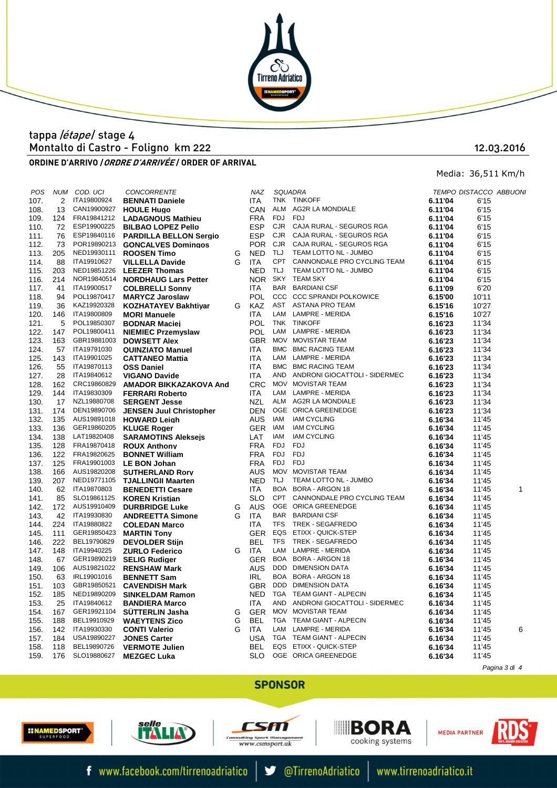

# Montalto di Castro - Foligno km 222 tappa / etape/ stage 4

#### 12.03.2016

Media: 36,511 Km/h

ORDINE D'ARRIVO *| ORDRE D'ARRIVÉE* / ORDER OF ARRIVAL

POS NUM COD. UCI CONCORRENTE NAZ SQUADRA TEMPO DISTACCO ABBUONI 107. 2 ITA19800924 **BENNATI Daniele** ITA TNK TINKOFF **6.11'04** 6'15 **CAN19900927 <b>HOULE Hugo**<br>FRA19841212 **LADAGNOUS** 109. 124 FRA19841212 **LADAGNOUS Mathieu**<br>110. 72 ESP19900225 **BILBAO LOPEZ Pello** 72 ESP19900225 **BILBAO LOPEZ Pello** 111. 76 ESP19840116 **PARDILLA BELLON Sergio**<br>112. 73 POR19890213 **GONCALVES Domingos** POR19890213 **GONCALVES Domingos** NED19930111 **ROOSEN Time** 114. 88 ITA19910627 **VILLELLA Davide** 115. 203 NED19851226 LEEZER Thomas 115. 203 NED19851226 **LEEZER Thomas**<br>116. 214 NOR19840514 **NORDHAUG Lars** 214 NOR19840514 **NORDHAUG Lars Petter** 117. 41 ITA19900517 **COLBRELLI Sonny** 118. 94 POL19870417 **MARYCZ Jaroslaw** POL19870417 **MARYCZ Jaroslaw**<br>KAZ19920328 **KOZHATAYEV Bak** 119. 36 KAZ19920328 **KOZHATAYEV Bakhtiyar**<br>120. 146 ITA19800809 **MORI Manuele** 120. 146 ITA19800809 **MORI Manuele**<br>121. 5 POL19850307 **BODNAR Macional** 121. POL19850307 **BODNAR Maciei**<br>12 POL19800411 **NIEMIEC Przemy** 122. 147 POL19800411 **NIEMIEC Przemyslaw** 123. 163 GBR19881003 **DOWSETT Alex**<br>124. 57 ITA19791030 QUINZIATO Mar 124. 57 ITA19791030 **QUINZIATO Manuel**<br>125. 143 ITA19901025 **CATTANFO Mattia** 125. 143 ITA19901025 **CATTANEO Mattia** 127. 28 ITA19840612 **VIGANO Davide** 128. 162 CRC19860829 **AMADOR BIKKA** 128. 162 CRC19860829 **AMADOR BIKKAZAKOVA And** 129. 144 ITA19830309 FERRARI Roberto **FERRARI Roberto** 130. 17 NZL19880708 **SERGENT Jesse** 131. 174 DEN19890706 JENSEN Juul Ch 131. 174 DEN19890706 **JENSEN Juul Christopher** 132. 135 AUS19891018 **HOWARD Leigh** 133. 136 GER19860205 **KLUGE Roger** 134. 138 LAT19820408 **SARAMOTINS Aleksejs**<br>135. 128 FRA19870418 **ROUX Anthony** 135. 128 FRA19870418 **ROUX Anthony** 136. 122 FRA19820625 **BONNET Willia FRA19820625 BONNET William**<br>FRA19901003 LE BON Johan 137. 125 FRA 19901003 LE BON Johan 138. 166 AUS19820208 **SUTHERLAND Rory**<br>139. 207 NED19771105 **TJALLINGII Maarter** 139. 207 NED19771105 **TJALLINGII Maarten**<br>140. 62 ITA19870803 **BENEDETTI Cesare** 141. 85 SLO19861125 **KOREN Kristian**<br>142. 172 AUS19910409 **DURBRIDGE Lu**i AUS19910409 **DURBRIDGE Luke**<br>ITA19930830 **ANDREETTA Simo** 143. 42 ITA19930830 **ANDREETTA Simone** 144. 224 ITA19880822 **COLEDAN Marco** 145. 111 GER19850423 **MARTIN Tony** 146. 222 BEL19790829 **DEVOLDER Stiin** 147. 148 ITA19940225 **ZURLO Federico**<br>148. 67 GER19890219 **SELIG Rudiger** 6ER19890219 **SELIG Rudiger**<br>AUS19821022 **RENSHAW Mar** 149. 106 AUS19821022 **RENSHAW Mark** 150. 63 IRL19901016 **BENNETT Sam IRL19901016 BENNETT Sam<br>GBR19850521 CAVENDISH Manufacture** 151. 103 GBR19850521 **CAVENDISH Mark** 152. 185 NED19890209 **SINKELDAM Ram** 152. 185 NED19890209 **SINKELDAM Ramon**<br>153 25 JR419840612 **BANDIERA Marco** 153. 25 ITA19840612 **BANDIERA Marco**<br>154. 167 GER19921104 **SÜTTERLIN Jasha** 154. 167 GER19921104 **SÜTTERLIN Jasha**<br>155. 188. BEL19910929 **WAEYTENS Zico** 155. 188 BEL19910929 **WAEYTENS Zico** 157. 19890227 **JONES Carter**<br>BEL19890726 **VERMOTE Juli** 158. 118 BEL19890726 **VERMOTE Julien**<br>159 176 SLO19880627 MEZGEC Luka 159. 176 SLO19880627 **MEZGEC Luka** 

| 108. | 13  |             | CAN19900927 HOULE Hugo             |        | CAN        | ALM        | AG2R LA MONDIALE                  | 6.11'04 | 6'15  |               |
|------|-----|-------------|------------------------------------|--------|------------|------------|-----------------------------------|---------|-------|---------------|
| 109. | 124 |             | FRA19841212 LADAGNOUS Mathieu      |        | <b>FRA</b> | FDJ        | <b>FDJ</b>                        | 6.11'04 | 6'15  |               |
| 110. | 72  |             | ESP19900225 BILBAO LOPEZ Pello     |        | <b>ESP</b> | <b>CJR</b> | CAJA RURAL - SEGUROS RGA          | 6.11'04 | 6'15  |               |
| 111. | 76  |             | ESP19840116 PARDILLA BELLON Sergio |        | <b>ESP</b> | <b>CJR</b> | CAJA RURAL - SEGUROS RGA          | 6.11'04 | 6'15  |               |
| 112. | 73  |             | POR19890213 GONCALVES Domingos     |        | <b>POR</b> | CJR        | CAJA RURAL - SEGUROS RGA          | 6.11'04 | 6'15  |               |
| 113. | 205 |             | NED19930111 ROOSEN Timo            | G      | <b>NED</b> | <b>TLJ</b> | TEAM LOTTO NL - JUMBO             | 6.11'04 | 6'15  |               |
| 114. | 88  | ITA19910627 | <b>VILLELLA Davide</b>             | G      | <b>ITA</b> | <b>CPT</b> | CANNONDALE PRO CYCLING TEAM       | 6.11'04 | 6'15  |               |
| 115. | 203 |             | NED19851226 LEEZER Thomas          |        | <b>NED</b> | TLJ        | TEAM LOTTO NL - JUMBO             | 6.11'04 | 6'15  |               |
| 116. | 214 |             | NOR19840514 NORDHAUG Lars Petter   |        | <b>NOR</b> |            | SKY TEAM SKY                      | 6.11'04 | 6'15  |               |
| 117. | 41  | ITA19900517 | <b>COLBRELLI Sonny</b>             |        | ITA        | BAR        | BARDIANI CSF                      | 6.11'09 | 6'20  |               |
| 118. | 94  | POL19870417 | <b>MARYCZ Jaroslaw</b>             |        | <b>POL</b> | <b>CCC</b> | <b>CCC SPRANDI POLKOWICE</b>      | 6.15'00 | 10'11 |               |
| 119. | 36  | KAZ19920328 | <b>KOZHATAYEV Bakhtiyar</b>        | G      | KAZ        | AST        | ASTANA PRO TEAM                   | 6.15'16 | 10'27 |               |
| 120. | 146 | ITA19800809 |                                    |        | <b>ITA</b> | LAM        | LAMPRE - MERIDA                   |         | 10'27 |               |
|      | 5   | POL19850307 | <b>MORI Manuele</b>                |        | <b>POL</b> |            | TNK TINKOFF                       | 6.15'16 |       |               |
| 121. |     |             | <b>BODNAR Maciej</b>               |        |            |            |                                   | 6.16'23 | 11'34 |               |
| 122. | 147 | POL19800411 | <b>NIEMIEC Przemyslaw</b>          |        | <b>POL</b> | LAM        | LAMPRE - MERIDA                   | 6.16'23 | 11'34 |               |
| 123. | 163 |             | GBR19881003 DOWSETT Alex           |        | <b>GBR</b> |            | MOV MOVISTAR TEAM                 | 6.16'23 | 11'34 |               |
| 124. | 57  | ITA19791030 | <b>QUINZIATO Manuel</b>            |        | <b>ITA</b> | <b>BMC</b> | <b>BMC RACING TEAM</b>            | 6.16'23 | 11'34 |               |
| 125. | 143 | ITA19901025 | <b>CATTANEO Mattia</b>             |        | ITA        | LAM        | LAMPRE - MERIDA                   | 6.16'23 | 11'34 |               |
| 126. | 55  | ITA19870113 | <b>OSS Daniel</b>                  |        | <b>ITA</b> | <b>BMC</b> | BMC RACING TEAM                   | 6.16'23 | 11'34 |               |
| 127. | 28  | ITA19840612 | <b>VIGANO Davide</b>               |        | <b>ITA</b> | AND        | ANDRONI GIOCATTOLI - SIDERMEC     | 6.16'23 | 11'34 |               |
| 128. | 162 | CRC19860829 | <b>AMADOR BIKKAZAKOVA And</b>      |        | CRC        |            | MOV MOVISTAR TEAM                 | 6.16'23 | 11'34 |               |
| 129. | 144 | ITA19830309 | <b>FERRARI Roberto</b>             |        | <b>ITA</b> | LAM        | LAMPRE - MERIDA                   | 6.16'23 | 11'34 |               |
| 130. | 17  | NZL19880708 | <b>SERGENT Jesse</b>               |        | NZL        | ALM        | AG2R LA MONDIALE                  | 6.16'23 | 11'34 |               |
| 131. | 174 | DEN19890706 | <b>JENSEN Juul Christopher</b>     |        | <b>DEN</b> |            | OGE ORICA GREENEDGE               | 6.16'23 | 11'34 |               |
| 132. | 135 |             | AUS19891018 HOWARD Leigh           |        | <b>AUS</b> | IAM        | <b>IAM CYCLING</b>                | 6.16'34 | 11'45 |               |
| 133. | 136 |             | GER19860205 KLUGE Roger            |        | <b>GER</b> | IAM        | <b>IAM CYCLING</b>                | 6.16'34 | 11'45 |               |
| 134. | 138 | LAT19820408 | <b>SARAMOTINS Aleksejs</b>         |        | LAT        | IAM        | <b>IAM CYCLING</b>                | 6.16'34 | 11'45 |               |
| 135. | 128 | FRA19870418 | <b>ROUX Anthony</b>                |        | FRA        | FDJ        | FDJ                               | 6.16'34 | 11'45 |               |
| 136. | 122 | FRA19820625 | <b>BONNET William</b>              |        | <b>FRA</b> | FDJ        | <b>FDJ</b>                        | 6.16'34 | 11'45 |               |
| 137. | 125 | FRA19901003 | <b>LE BON Johan</b>                |        | <b>FRA</b> | FDJ        | <b>FDJ</b>                        | 6.16'34 | 11'45 |               |
| 138. | 166 | AUS19820208 | <b>SUTHERLAND Rory</b>             |        | AUS        |            | MOV MOVISTAR TEAM                 | 6.16'34 | 11'45 |               |
| 139. | 207 | NED19771105 | <b>TJALLINGII Maarten</b>          |        | <b>NED</b> | TLJ        | TEAM LOTTO NL - JUMBO             | 6.16'34 | 11'45 |               |
| 140. | 62  | ITA19870803 | <b>BENEDETTI Cesare</b>            |        | ITA        | BOA        | <b>BORA - ARGON 18</b>            | 6.16'34 | 11'45 | 1             |
| 141. | 85  | SLO19861125 | <b>KOREN Kristjan</b>              |        | <b>SLO</b> |            | CPT CANNONDALE PRO CYCLING TEAM   | 6.16'34 | 11'45 |               |
| 142. | 172 | AUS19910409 | <b>DURBRIDGE Luke</b>              | G      | AUS        |            | OGE ORICA GREENEDGE               | 6.16'34 | 11'45 |               |
| 143. | 42  | ITA19930830 | <b>ANDREETTA Simone</b>            | G      | ITA        | <b>BAR</b> | <b>BARDIANI CSF</b>               | 6.16'34 | 11'45 |               |
| 144. | 224 | ITA19880822 | <b>COLEDAN Marco</b>               |        | <b>ITA</b> | <b>TFS</b> | TREK - SEGAFREDO                  | 6.16'34 | 11'45 |               |
| 145. | 111 |             | GER19850423 MARTIN Tony            |        | <b>GER</b> | EQS        | ETIXX - QUICK-STEP                | 6.16'34 | 11'45 |               |
| 146. | 222 | BEL19790829 | <b>DEVOLDER Stijn</b>              |        | <b>BEL</b> | TFS        | TREK - SEGAFREDO                  | 6.16'34 | 11'45 |               |
| 147. | 148 | ITA19940225 | <b>ZURLO Federico</b>              | G      | ITA        | LAM        | LAMPRE - MERIDA                   | 6.16'34 | 11'45 |               |
| 148. | 67  |             | GER19890219 SELIG Rudiger          |        | <b>GER</b> | BOA        | BORA - ARGON 18                   | 6.16'34 | 11'45 |               |
| 149. | 106 | AUS19821022 | <b>RENSHAW Mark</b>                |        | <b>AUS</b> |            | DDD DIMENSION DATA                | 6.16'34 | 11'45 |               |
| 150. | 63  | IRL19901016 | <b>BENNETT Sam</b>                 |        | <b>IRL</b> |            | BOA BORA - ARGON 18               | 6.16'34 | 11'45 |               |
| 151. | 103 | GBR19850521 | <b>CAVENDISH Mark</b>              |        | <b>GBR</b> |            | DDD DIMENSION DATA                | 6.16'34 | 11'45 |               |
| 152. | 185 | NED19890209 | <b>SINKELDAM Ramon</b>             |        | <b>NED</b> |            | TGA TEAM GIANT - ALPECIN          | 6.16'34 | 11'45 |               |
| 153. | 25  | ITA19840612 | <b>BANDIERA Marco</b>              |        | <b>ITA</b> |            | AND ANDRONI GIOCATTOLI - SIDERMEC | 6.16'34 | 11'45 |               |
| 154. | 167 | GER19921104 |                                    | G      | <b>GER</b> |            | MOV MOVISTAR TEAM                 |         |       |               |
|      | 188 | BEL19910929 | <b>SUTTERLIN Jasha</b>             |        | <b>BEL</b> |            | TGA TEAM GIANT - ALPECIN          | 6.16'34 | 11'45 |               |
| 155. | 142 | ITA19930330 | <b>WAEYTENS Zico</b>               | G<br>G |            |            | LAM LAMPRE - MERIDA               | 6.16'34 | 11'45 |               |
| 156. |     |             | <b>CONTI Valerio</b>               |        | <b>ITA</b> |            |                                   | 6.16'34 | 11'45 | 6             |
| 157. | 184 | USA19890227 | <b>JONES Carter</b>                |        | USA        |            | TGA TEAM GIANT - ALPECIN          | 6.16'34 | 11'45 |               |
| 158. | 118 | BEL19890726 | <b>VERMOTE Julien</b>              |        | <b>BEL</b> |            | EQS ETIXX - QUICK-STEP            | 6.16'34 | 11'45 |               |
| 159. | 176 | SLO19880627 | <b>MEZGEC Luka</b>                 |        | <b>SLO</b> |            | OGE ORICA GREENEDGE               | 6.16'34 | 11'45 |               |
|      |     |             |                                    |        |            |            |                                   |         |       | Pagina 3 di 4 |

### **SPONSOR**